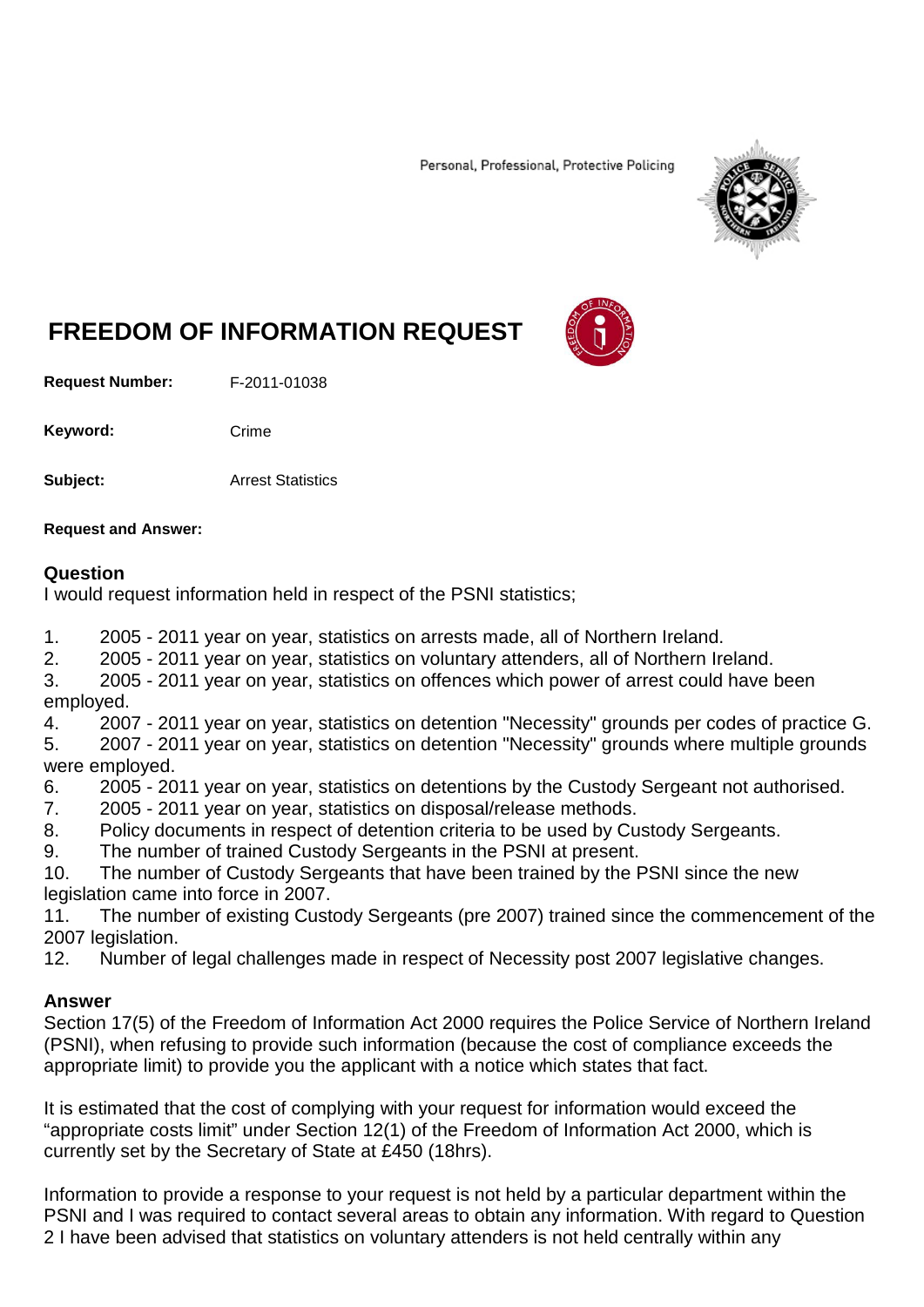Personal, Professional, Protective Policing



# **FREEDOM OF INFORMATION REQUEST**

**Request Number:** F-2011-01038

Keyword: Crime

**Subject:** Arrest Statistics

**Request and Answer:**

## **Question**

I would request information held in respect of the PSNI statistics;

1. 2005 - 2011 year on year, statistics on arrests made, all of Northern Ireland.

2. 2005 - 2011 year on year, statistics on voluntary attenders, all of Northern Ireland.

3. 2005 - 2011 year on year, statistics on offences which power of arrest could have been employed.

4. 2007 - 2011 year on year, statistics on detention "Necessity" grounds per codes of practice G.

5. 2007 - 2011 year on year, statistics on detention "Necessity" grounds where multiple grounds were employed.

6. 2005 - 2011 year on year, statistics on detentions by the Custody Sergeant not authorised.

7. 2005 - 2011 year on year, statistics on disposal/release methods.

8. Policy documents in respect of detention criteria to be used by Custody Sergeants.

9. The number of trained Custody Sergeants in the PSNI at present.

10. The number of Custody Sergeants that have been trained by the PSNI since the new legislation came into force in 2007.

11. The number of existing Custody Sergeants (pre 2007) trained since the commencement of the 2007 legislation.

12. Number of legal challenges made in respect of Necessity post 2007 legislative changes.

# **Answer**

Section 17(5) of the Freedom of Information Act 2000 requires the Police Service of Northern Ireland (PSNI), when refusing to provide such information (because the cost of compliance exceeds the appropriate limit) to provide you the applicant with a notice which states that fact.

It is estimated that the cost of complying with your request for information would exceed the "appropriate costs limit" under Section 12(1) of the Freedom of Information Act 2000, which is currently set by the Secretary of State at £450 (18hrs).

Information to provide a response to your request is not held by a particular department within the PSNI and I was required to contact several areas to obtain any information. With regard to Question 2 I have been advised that statistics on voluntary attenders is not held centrally within any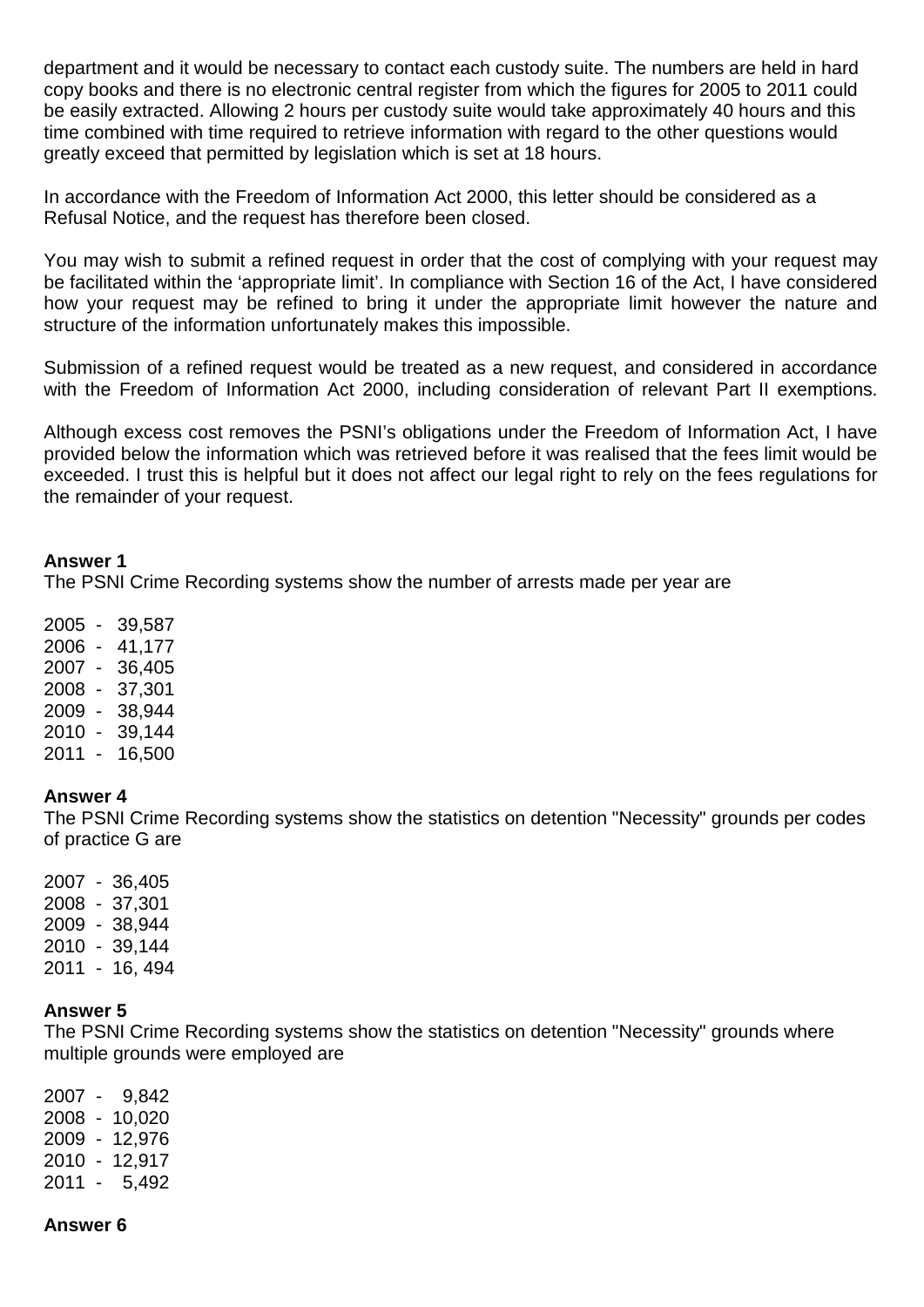department and it would be necessary to contact each custody suite. The numbers are held in hard copy books and there is no electronic central register from which the figures for 2005 to 2011 could be easily extracted. Allowing 2 hours per custody suite would take approximately 40 hours and this time combined with time required to retrieve information with regard to the other questions would greatly exceed that permitted by legislation which is set at 18 hours.

In accordance with the Freedom of Information Act 2000, this letter should be considered as a Refusal Notice, and the request has therefore been closed.

You may wish to submit a refined request in order that the cost of complying with your request may be facilitated within the 'appropriate limit'. In compliance with Section 16 of the Act, I have considered how your request may be refined to bring it under the appropriate limit however the nature and structure of the information unfortunately makes this impossible.

Submission of a refined request would be treated as a new request, and considered in accordance with the Freedom of Information Act 2000, including consideration of relevant Part II exemptions.

Although excess cost removes the PSNI's obligations under the Freedom of Information Act, I have provided below the information which was retrieved before it was realised that the fees limit would be exceeded. I trust this is helpful but it does not affect our legal right to rely on the fees regulations for the remainder of your request.

## **Answer 1**

The PSNI Crime Recording systems show the number of arrests made per year are

2005 - 39,587

- 2006 41,177
- 2007 36,405
- 2008 37,301
- 2009 38,944
- 2010 39,144
- 2011 16,500

# **Answer 4**

The PSNI Crime Recording systems show the statistics on detention "Necessity" grounds per codes of practice G are

2007 - 36,405 2008 - 37,301 2009 - 38,944 2010 - 39,144 2011 - 16, 494

# **Answer 5**

The PSNI Crime Recording systems show the statistics on detention "Necessity" grounds where multiple grounds were employed are

2007 - 9,842 2008 - 10,020 2009 - 12,976 2010 - 12,917 2011 - 5,492

# **Answer 6**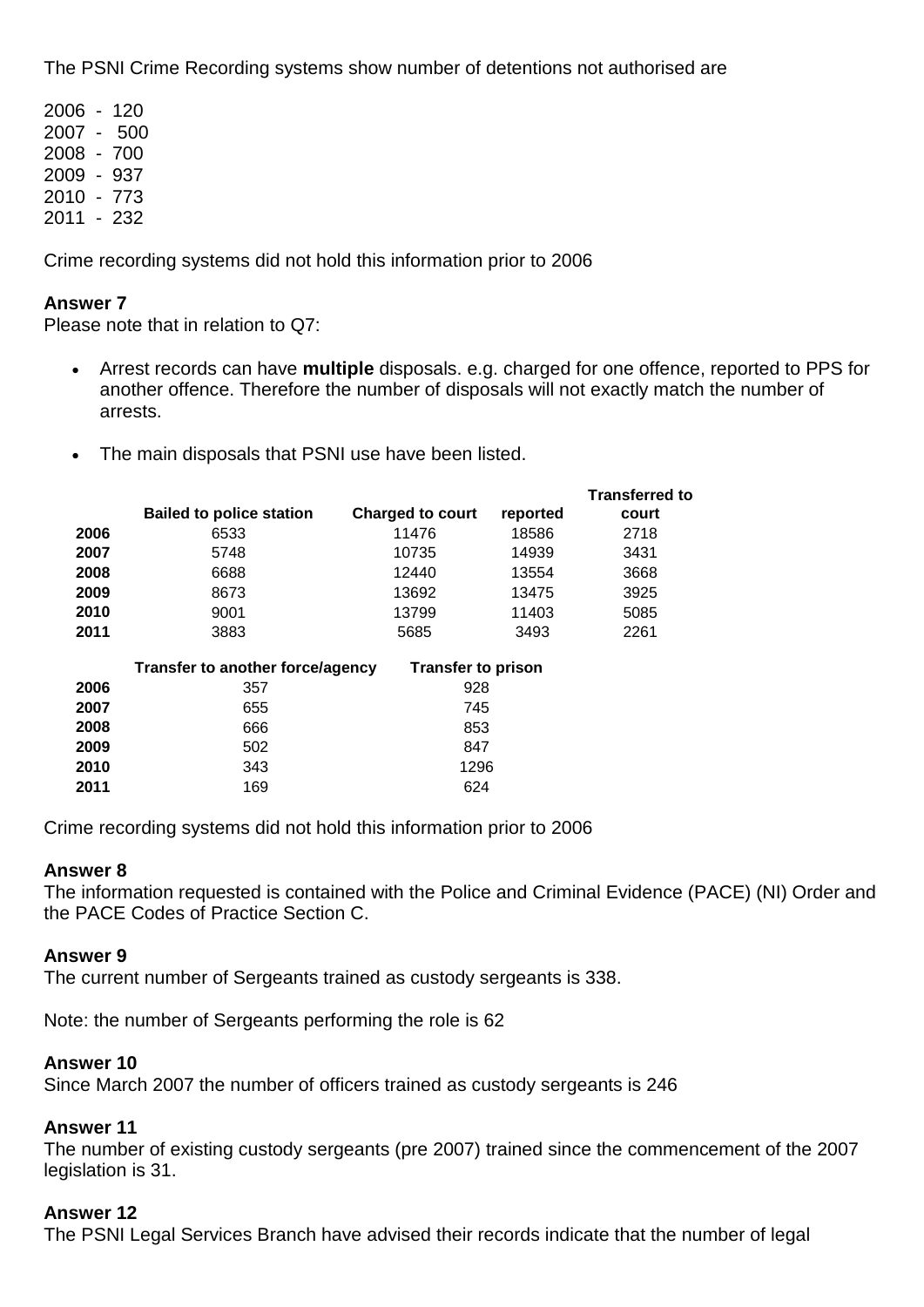The PSNI Crime Recording systems show number of detentions not authorised are

Crime recording systems did not hold this information prior to 2006

## **Answer 7**

Please note that in relation to Q7:

- Arrest records can have **multiple** disposals. e.g. charged for one offence, reported to PPS for another offence. Therefore the number of disposals will not exactly match the number of arrests.
- The main disposals that PSNI use have been listed.

|      | <b>Bailed to police station</b>                               | <b>Charged to court</b> | reported | <b>Transferred to</b><br>court |
|------|---------------------------------------------------------------|-------------------------|----------|--------------------------------|
| 2006 | 6533                                                          | 11476                   | 18586    | 2718                           |
| 2007 | 5748                                                          | 10735                   | 14939    | 3431                           |
| 2008 | 6688                                                          | 12440                   | 13554    | 3668                           |
| 2009 | 8673                                                          | 13692                   | 13475    | 3925                           |
| 2010 | 9001                                                          | 13799                   | 11403    | 5085                           |
| 2011 | 3883                                                          | 5685                    | 3493     | 2261                           |
|      | Transfer to another force/agency<br><b>Transfer to prison</b> |                         |          |                                |
| 2006 | 357                                                           | 928                     |          |                                |
| 2007 | 655                                                           | 745                     |          |                                |
| 2008 | 666                                                           | 853                     |          |                                |
| 2009 | 502                                                           | 847                     |          |                                |
| 2010 | 343                                                           | 1296                    |          |                                |
| 2011 | 169                                                           | 624                     |          |                                |

Crime recording systems did not hold this information prior to 2006

# **Answer 8**

The information requested is contained with the Police and Criminal Evidence (PACE) (NI) Order and the PACE Codes of Practice Section C.

## **Answer 9**

The current number of Sergeants trained as custody sergeants is 338.

Note: the number of Sergeants performing the role is 62

## **Answer 10**

Since March 2007 the number of officers trained as custody sergeants is 246

## **Answer 11**

The number of existing custody sergeants (pre 2007) trained since the commencement of the 2007 legislation is 31.

# **Answer 12**

The PSNI Legal Services Branch have advised their records indicate that the number of legal